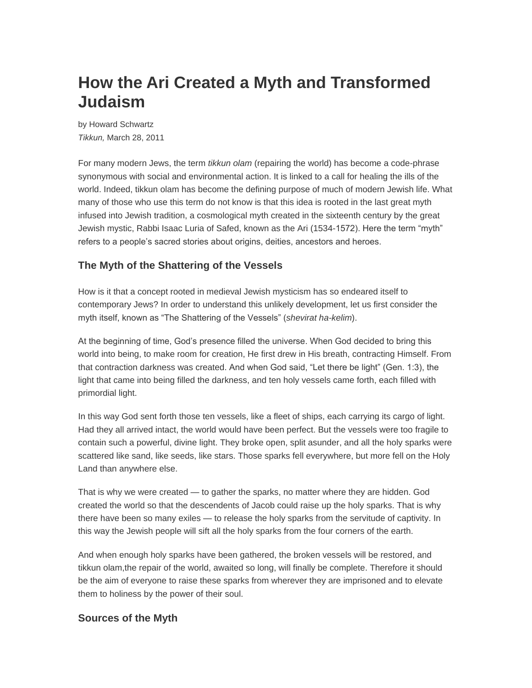# **How the Ari Created a Myth and Transformed Judaism**

by Howard Schwartz *Tikkun,* March 28, 2011

For many modern Jews, the term *tikkun olam* (repairing the world) has become a code-phrase synonymous with social and environmental action. It is linked to a call for healing the ills of the world. Indeed, tikkun olam has become the defining purpose of much of modern Jewish life. What many of those who use this term do not know is that this idea is rooted in the last great myth infused into Jewish tradition, a cosmological myth created in the sixteenth century by the great Jewish mystic, Rabbi Isaac Luria of Safed, known as the Ari (1534-1572). Here the term "myth" refers to a people's sacred stories about origins, deities, ancestors and heroes.

## **The Myth of the Shattering of the Vessels**

How is it that a concept rooted in medieval Jewish mysticism has so endeared itself to contemporary Jews? In order to understand this unlikely development, let us first consider the myth itself, known as "The Shattering of the Vessels" (*shevirat ha-kelim*).

At the beginning of time, God's presence filled the universe. When God decided to bring this world into being, to make room for creation, He first drew in His breath, contracting Himself. From that contraction darkness was created. And when God said, "Let there be light" (Gen. 1:3), the light that came into being filled the darkness, and ten holy vessels came forth, each filled with primordial light.

In this way God sent forth those ten vessels, like a fleet of ships, each carrying its cargo of light. Had they all arrived intact, the world would have been perfect. But the vessels were too fragile to contain such a powerful, divine light. They broke open, split asunder, and all the holy sparks were scattered like sand, like seeds, like stars. Those sparks fell everywhere, but more fell on the Holy Land than anywhere else.

That is why we were created — to gather the sparks, no matter where they are hidden. God created the world so that the descendents of Jacob could raise up the holy sparks. That is why there have been so many exiles — to release the holy sparks from the servitude of captivity. In this way the Jewish people will sift all the holy sparks from the four corners of the earth.

And when enough holy sparks have been gathered, the broken vessels will be restored, and tikkun olam,the repair of the world, awaited so long, will finally be complete. Therefore it should be the aim of everyone to raise these sparks from wherever they are imprisoned and to elevate them to holiness by the power of their soul.

#### **Sources of the Myth**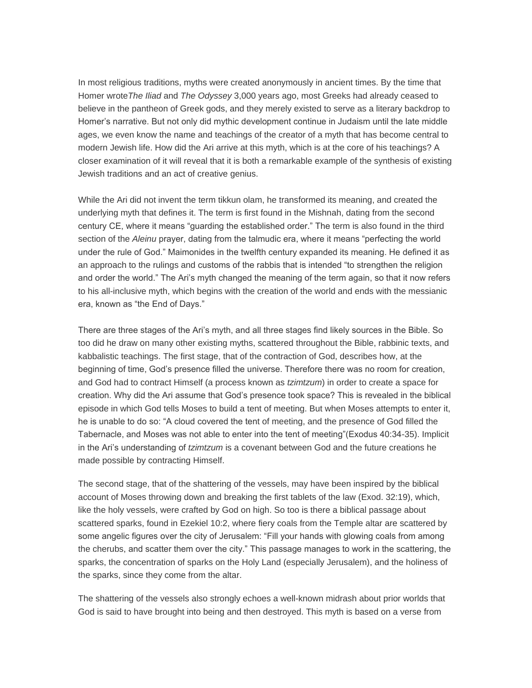In most religious traditions, myths were created anonymously in ancient times. By the time that Homer wrote*The Iliad* and *The Odyssey* 3,000 years ago, most Greeks had already ceased to believe in the pantheon of Greek gods, and they merely existed to serve as a literary backdrop to Homer's narrative. But not only did mythic development continue in Judaism until the late middle ages, we even know the name and teachings of the creator of a myth that has become central to modern Jewish life. How did the Ari arrive at this myth, which is at the core of his teachings? A closer examination of it will reveal that it is both a remarkable example of the synthesis of existing Jewish traditions and an act of creative genius.

While the Ari did not invent the term tikkun olam, he transformed its meaning, and created the underlying myth that defines it. The term is first found in the Mishnah, dating from the second century CE, where it means "guarding the established order." The term is also found in the third section of the *Aleinu* prayer, dating from the talmudic era, where it means "perfecting the world under the rule of God." Maimonides in the twelfth century expanded its meaning. He defined it as an approach to the rulings and customs of the rabbis that is intended "to strengthen the religion and order the world." The Ari's myth changed the meaning of the term again, so that it now refers to his all-inclusive myth, which begins with the creation of the world and ends with the messianic era, known as "the End of Days."

There are three stages of the Ari's myth, and all three stages find likely sources in the Bible. So too did he draw on many other existing myths, scattered throughout the Bible, rabbinic texts, and kabbalistic teachings. The first stage, that of the contraction of God, describes how, at the beginning of time, God's presence filled the universe. Therefore there was no room for creation, and God had to contract Himself (a process known as *tzimtzum*) in order to create a space for creation. Why did the Ari assume that God's presence took space? This is revealed in the biblical episode in which God tells Moses to build a tent of meeting. But when Moses attempts to enter it, he is unable to do so: "A cloud covered the tent of meeting, and the presence of God filled the Tabernacle, and Moses was not able to enter into the tent of meeting"(Exodus 40:34-35). Implicit in the Ari's understanding of *tzimtzum* is a covenant between God and the future creations he made possible by contracting Himself.

The second stage, that of the shattering of the vessels, may have been inspired by the biblical account of Moses throwing down and breaking the first tablets of the law (Exod. 32:19), which, like the holy vessels, were crafted by God on high. So too is there a biblical passage about scattered sparks, found in Ezekiel 10:2, where fiery coals from the Temple altar are scattered by some angelic figures over the city of Jerusalem: "Fill your hands with glowing coals from among the cherubs, and scatter them over the city." This passage manages to work in the scattering, the sparks, the concentration of sparks on the Holy Land (especially Jerusalem), and the holiness of the sparks, since they come from the altar.

The shattering of the vessels also strongly echoes a well-known midrash about prior worlds that God is said to have brought into being and then destroyed. This myth is based on a verse from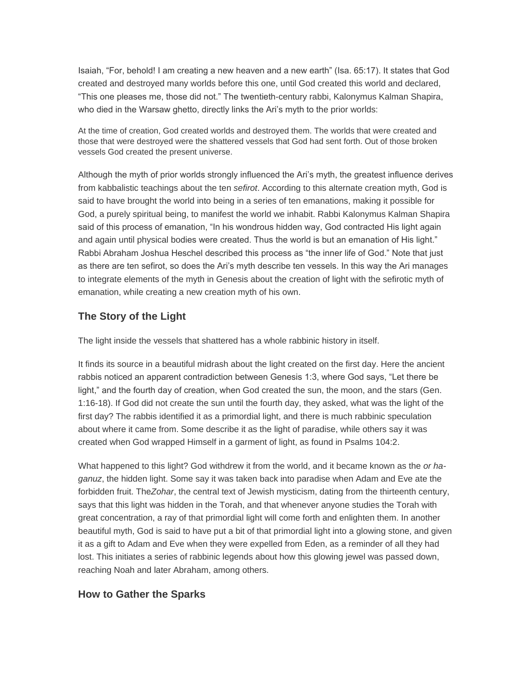Isaiah, "For, behold! I am creating a new heaven and a new earth" (Isa. 65:17). It states that God created and destroyed many worlds before this one, until God created this world and declared, "This one pleases me, those did not." The twentieth-century rabbi, Kalonymus Kalman Shapira, who died in the Warsaw ghetto, directly links the Ari's myth to the prior worlds:

At the time of creation, God created worlds and destroyed them. The worlds that were created and those that were destroyed were the shattered vessels that God had sent forth. Out of those broken vessels God created the present universe.

Although the myth of prior worlds strongly influenced the Ari's myth, the greatest influence derives from kabbalistic teachings about the ten *sefirot*. According to this alternate creation myth, God is said to have brought the world into being in a series of ten emanations, making it possible for God, a purely spiritual being, to manifest the world we inhabit. Rabbi Kalonymus Kalman Shapira said of this process of emanation, "In his wondrous hidden way, God contracted His light again and again until physical bodies were created. Thus the world is but an emanation of His light." Rabbi Abraham Joshua Heschel described this process as "the inner life of God." Note that just as there are ten sefirot, so does the Ari's myth describe ten vessels. In this way the Ari manages to integrate elements of the myth in Genesis about the creation of light with the sefirotic myth of emanation, while creating a new creation myth of his own.

### **The Story of the Light**

The light inside the vessels that shattered has a whole rabbinic history in itself.

It finds its source in a beautiful midrash about the light created on the first day. Here the ancient rabbis noticed an apparent contradiction between Genesis 1:3, where God says, "Let there be light," and the fourth day of creation, when God created the sun, the moon, and the stars (Gen. 1:16-18). If God did not create the sun until the fourth day, they asked, what was the light of the first day? The rabbis identified it as a primordial light, and there is much rabbinic speculation about where it came from. Some describe it as the light of paradise, while others say it was created when God wrapped Himself in a garment of light, as found in Psalms 104:2.

What happened to this light? God withdrew it from the world, and it became known as the *or haganuz*, the hidden light. Some say it was taken back into paradise when Adam and Eve ate the forbidden fruit. The*Zohar*, the central text of Jewish mysticism, dating from the thirteenth century, says that this light was hidden in the Torah, and that whenever anyone studies the Torah with great concentration, a ray of that primordial light will come forth and enlighten them. In another beautiful myth, God is said to have put a bit of that primordial light into a glowing stone, and given it as a gift to Adam and Eve when they were expelled from Eden, as a reminder of all they had lost. This initiates a series of rabbinic legends about how this glowing jewel was passed down, reaching Noah and later Abraham, among others.

### **How to Gather the Sparks**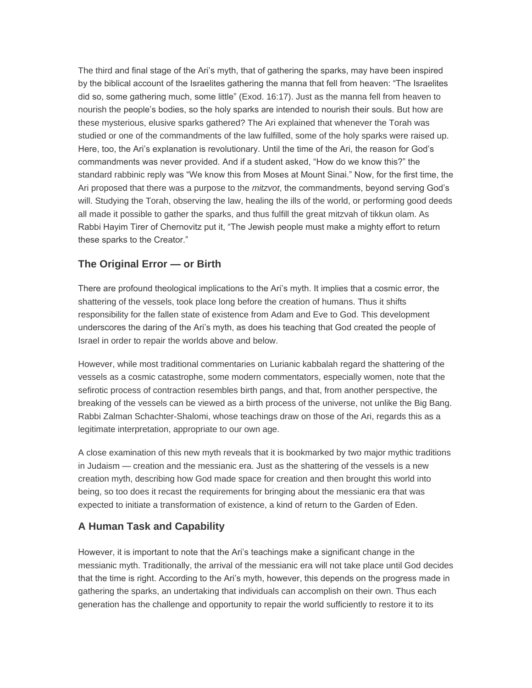The third and final stage of the Ari's myth, that of gathering the sparks, may have been inspired by the biblical account of the Israelites gathering the manna that fell from heaven: "The Israelites did so, some gathering much, some little" (Exod. 16:17). Just as the manna fell from heaven to nourish the people's bodies, so the holy sparks are intended to nourish their souls. But how are these mysterious, elusive sparks gathered? The Ari explained that whenever the Torah was studied or one of the commandments of the law fulfilled, some of the holy sparks were raised up. Here, too, the Ari's explanation is revolutionary. Until the time of the Ari, the reason for God's commandments was never provided. And if a student asked, "How do we know this?" the standard rabbinic reply was "We know this from Moses at Mount Sinai." Now, for the first time, the Ari proposed that there was a purpose to the *mitzvot*, the commandments, beyond serving God's will. Studying the Torah, observing the law, healing the ills of the world, or performing good deeds all made it possible to gather the sparks, and thus fulfill the great mitzvah of tikkun olam. As Rabbi Hayim Tirer of Chernovitz put it, "The Jewish people must make a mighty effort to return these sparks to the Creator."

### **The Original Error — or Birth**

There are profound theological implications to the Ari's myth. It implies that a cosmic error, the shattering of the vessels, took place long before the creation of humans. Thus it shifts responsibility for the fallen state of existence from Adam and Eve to God. This development underscores the daring of the Ari's myth, as does his teaching that God created the people of Israel in order to repair the worlds above and below.

However, while most traditional commentaries on Lurianic kabbalah regard the shattering of the vessels as a cosmic catastrophe, some modern commentators, especially women, note that the sefirotic process of contraction resembles birth pangs, and that, from another perspective, the breaking of the vessels can be viewed as a birth process of the universe, not unlike the Big Bang. Rabbi Zalman Schachter-Shalomi, whose teachings draw on those of the Ari, regards this as a legitimate interpretation, appropriate to our own age.

A close examination of this new myth reveals that it is bookmarked by two major mythic traditions in Judaism — creation and the messianic era. Just as the shattering of the vessels is a new creation myth, describing how God made space for creation and then brought this world into being, so too does it recast the requirements for bringing about the messianic era that was expected to initiate a transformation of existence, a kind of return to the Garden of Eden.

### **A Human Task and Capability**

However, it is important to note that the Ari's teachings make a significant change in the messianic myth. Traditionally, the arrival of the messianic era will not take place until God decides that the time is right. According to the Ari's myth, however, this depends on the progress made in gathering the sparks, an undertaking that individuals can accomplish on their own. Thus each generation has the challenge and opportunity to repair the world sufficiently to restore it to its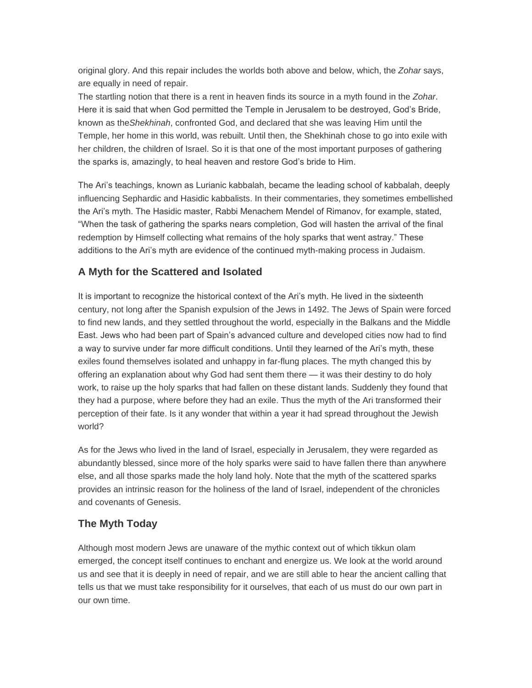original glory. And this repair includes the worlds both above and below, which, the *Zohar* says, are equally in need of repair.

The startling notion that there is a rent in heaven finds its source in a myth found in the *Zohar*. Here it is said that when God permitted the Temple in Jerusalem to be destroyed, God's Bride, known as the*Shekhinah*, confronted God, and declared that she was leaving Him until the Temple, her home in this world, was rebuilt. Until then, the Shekhinah chose to go into exile with her children, the children of Israel. So it is that one of the most important purposes of gathering the sparks is, amazingly, to heal heaven and restore God's bride to Him.

The Ari's teachings, known as Lurianic kabbalah, became the leading school of kabbalah, deeply influencing Sephardic and Hasidic kabbalists. In their commentaries, they sometimes embellished the Ari's myth. The Hasidic master, Rabbi Menachem Mendel of Rimanov, for example, stated, "When the task of gathering the sparks nears completion, God will hasten the arrival of the final redemption by Himself collecting what remains of the holy sparks that went astray." These additions to the Ari's myth are evidence of the continued myth-making process in Judaism.

### **A Myth for the Scattered and Isolated**

It is important to recognize the historical context of the Ari's myth. He lived in the sixteenth century, not long after the Spanish expulsion of the Jews in 1492. The Jews of Spain were forced to find new lands, and they settled throughout the world, especially in the Balkans and the Middle East. Jews who had been part of Spain's advanced culture and developed cities now had to find a way to survive under far more difficult conditions. Until they learned of the Ari's myth, these exiles found themselves isolated and unhappy in far-flung places. The myth changed this by offering an explanation about why God had sent them there — it was their destiny to do holy work, to raise up the holy sparks that had fallen on these distant lands. Suddenly they found that they had a purpose, where before they had an exile. Thus the myth of the Ari transformed their perception of their fate. Is it any wonder that within a year it had spread throughout the Jewish world?

As for the Jews who lived in the land of Israel, especially in Jerusalem, they were regarded as abundantly blessed, since more of the holy sparks were said to have fallen there than anywhere else, and all those sparks made the holy land holy. Note that the myth of the scattered sparks provides an intrinsic reason for the holiness of the land of Israel, independent of the chronicles and covenants of Genesis.

### **The Myth Today**

Although most modern Jews are unaware of the mythic context out of which tikkun olam emerged, the concept itself continues to enchant and energize us. We look at the world around us and see that it is deeply in need of repair, and we are still able to hear the ancient calling that tells us that we must take responsibility for it ourselves, that each of us must do our own part in our own time.